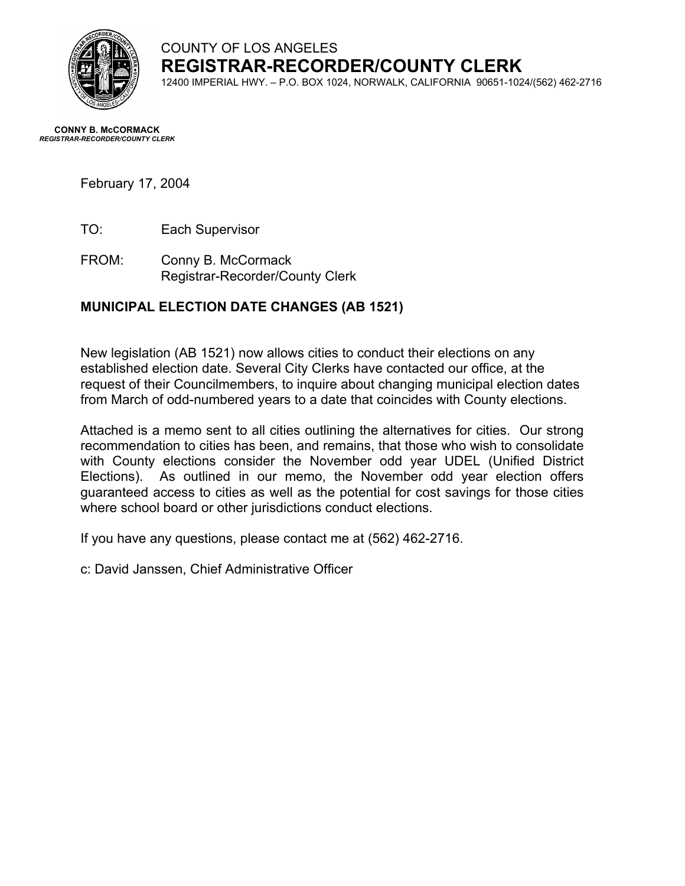

COUNTY OF LOS ANGELES **REGISTRAR-RECORDER/COUNTY CLERK**

12400 IMPERIAL HWY. – P.O. BOX 1024, NORWALK, CALIFORNIA 90651-1024/(562) 462-2716

#### **CONNY B. McCORMACK** *REGISTRAR-RECORDER/COUNTY CLERK*

# February 17, 2004

TO: Each Supervisor

FROM: Conny B. McCormack Registrar-Recorder/County Clerk

# **MUNICIPAL ELECTION DATE CHANGES (AB 1521)**

New legislation (AB 1521) now allows cities to conduct their elections on any established election date. Several City Clerks have contacted our office, at the request of their Councilmembers, to inquire about changing municipal election dates from March of odd-numbered years to a date that coincides with County elections.

Attached is a memo sent to all cities outlining the alternatives for cities. Our strong recommendation to cities has been, and remains, that those who wish to consolidate with County elections consider the November odd year UDEL (Unified District Elections). As outlined in our memo, the November odd year election offers guaranteed access to cities as well as the potential for cost savings for those cities where school board or other jurisdictions conduct elections.

If you have any questions, please contact me at (562) 462-2716.

c: David Janssen, Chief Administrative Officer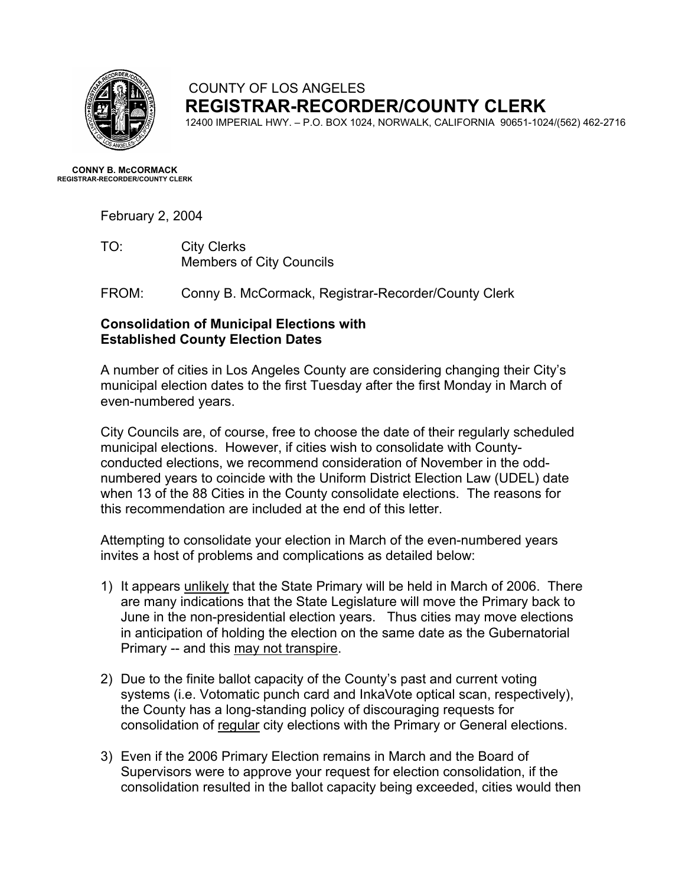

## COUNTY OF LOS ANGELES **REGISTRAR-RECORDER/COUNTY CLERK**

12400 IMPERIAL HWY. – P.O. BOX 1024, NORWALK, CALIFORNIA 90651-1024/(562) 462-2716

**CONNY B. McCORMACK REGISTRAR-RECORDER/COUNTY CLERK** 

February 2, 2004

TO: City Clerks Members of City Councils

FROM: Conny B. McCormack, Registrar-Recorder/County Clerk

#### **Consolidation of Municipal Elections with Established County Election Dates**

A number of cities in Los Angeles County are considering changing their City's municipal election dates to the first Tuesday after the first Monday in March of even-numbered years.

City Councils are, of course, free to choose the date of their regularly scheduled municipal elections. However, if cities wish to consolidate with Countyconducted elections, we recommend consideration of November in the oddnumbered years to coincide with the Uniform District Election Law (UDEL) date when 13 of the 88 Cities in the County consolidate elections. The reasons for this recommendation are included at the end of this letter.

Attempting to consolidate your election in March of the even-numbered years invites a host of problems and complications as detailed below:

- 1) It appears unlikely that the State Primary will be held in March of 2006. There are many indications that the State Legislature will move the Primary back to June in the non-presidential election years. Thus cities may move elections in anticipation of holding the election on the same date as the Gubernatorial Primary -- and this may not transpire.
- 2) Due to the finite ballot capacity of the County's past and current voting systems (i.e. Votomatic punch card and InkaVote optical scan, respectively), the County has a long-standing policy of discouraging requests for consolidation of regular city elections with the Primary or General elections.
- 3) Even if the 2006 Primary Election remains in March and the Board of Supervisors were to approve your request for election consolidation, if the consolidation resulted in the ballot capacity being exceeded, cities would then